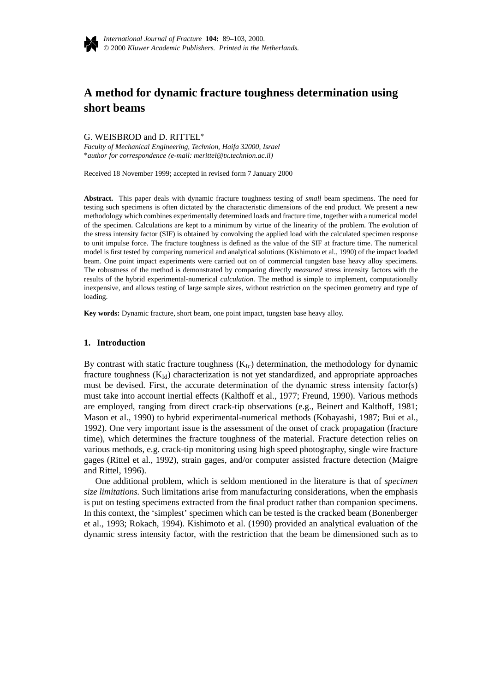

# **A method for dynamic fracture toughness determination using short beams**

#### G. WEISBROD and D. RITTEL<sup>∗</sup>

*Faculty of Mechanical Engineering, Technion, Haifa 32000, Israel* <sup>∗</sup>*author for correspondence (e-mail: merittel@tx.technion.ac.il)*

Received 18 November 1999; accepted in revised form 7 January 2000

**Abstract.** This paper deals with dynamic fracture toughness testing of *small* beam specimens. The need for testing such specimens is often dictated by the characteristic dimensions of the end product. We present a new methodology which combines experimentally determined loads and fracture time, together with a numerical model of the specimen. Calculations are kept to a minimum by virtue of the linearity of the problem. The evolution of the stress intensity factor (SIF) is obtained by convolving the applied load with the calculated specimen response to unit impulse force. The fracture toughness is defined as the value of the SIF at fracture time. The numerical model is first tested by comparing numerical and analytical solutions (Kishimoto et al., 1990) of the impact loaded beam. One point impact experiments were carried out on of commercial tungsten base heavy alloy specimens. The robustness of the method is demonstrated by comparing directly *measured* stress intensity factors with the results of the hybrid experimental-numerical *calculation*. The method is simple to implement, computationally inexpensive, and allows testing of large sample sizes, without restriction on the specimen geometry and type of loading.

**Key words:** Dynamic fracture, short beam, one point impact, tungsten base heavy alloy.

## **1. Introduction**

By contrast with static fracture toughness  $(K_{Ic})$  determination, the methodology for dynamic fracture toughness  $(K<sub>Id</sub>)$  characterization is not yet standardized, and appropriate approaches must be devised. First, the accurate determination of the dynamic stress intensity factor(s) must take into account inertial effects (Kalthoff et al., 1977; Freund, 1990). Various methods are employed, ranging from direct crack-tip observations (e.g., Beinert and Kalthoff, 1981; Mason et al., 1990) to hybrid experimental-numerical methods (Kobayashi, 1987; Bui et al., 1992). One very important issue is the assessment of the onset of crack propagation (fracture time), which determines the fracture toughness of the material. Fracture detection relies on various methods, e.g. crack-tip monitoring using high speed photography, single wire fracture gages (Rittel et al., 1992), strain gages, and/or computer assisted fracture detection (Maigre and Rittel, 1996).

One additional problem, which is seldom mentioned in the literature is that of *specimen size limitations.* Such limitations arise from manufacturing considerations, when the emphasis is put on testing specimens extracted from the final product rather than companion specimens. In this context, the 'simplest' specimen which can be tested is the cracked beam (Bonenberger et al., 1993; Rokach, 1994). Kishimoto et al. (1990) provided an analytical evaluation of the dynamic stress intensity factor, with the restriction that the beam be dimensioned such as to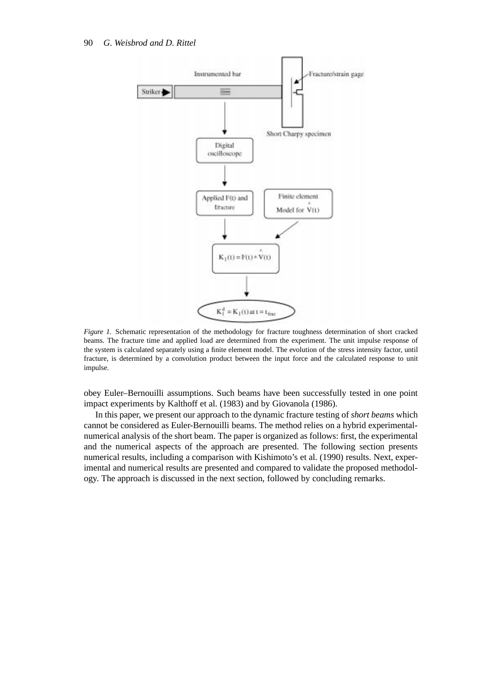

*Figure 1.* Schematic representation of the methodology for fracture toughness determination of short cracked beams. The fracture time and applied load are determined from the experiment. The unit impulse response of the system is calculated separately using a finite element model. The evolution of the stress intensity factor, until fracture, is determined by a convolution product between the input force and the calculated response to unit impulse.

obey Euler–Bernouilli assumptions. Such beams have been successfully tested in one point impact experiments by Kalthoff et al. (1983) and by Giovanola (1986).

In this paper, we present our approach to the dynamic fracture testing of *short beams* which cannot be considered as Euler-Bernouilli beams. The method relies on a hybrid experimentalnumerical analysis of the short beam. The paper is organized as follows: first, the experimental and the numerical aspects of the approach are presented. The following section presents numerical results, including a comparison with Kishimoto's et al. (1990) results. Next, experimental and numerical results are presented and compared to validate the proposed methodology. The approach is discussed in the next section, followed by concluding remarks.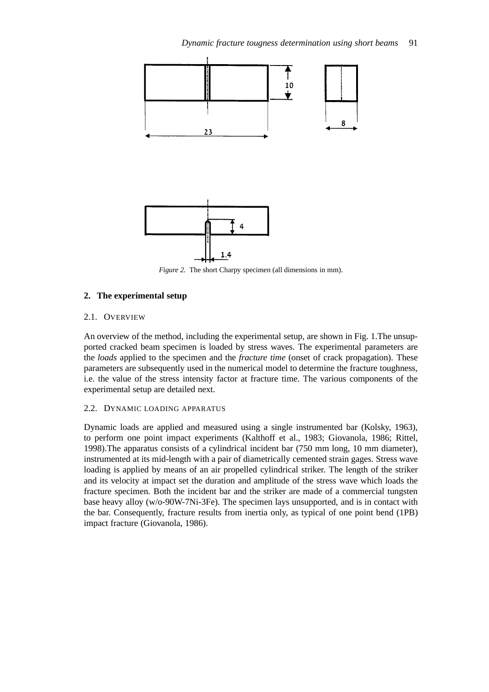

*Figure 2.* The short Charpy specimen (all dimensions in mm).

## **2. The experimental setup**

#### 2.1. OVERVIEW

An overview of the method, including the experimental setup, are shown in Fig. 1.The unsupported cracked beam specimen is loaded by stress waves. The experimental parameters are the *loads* applied to the specimen and the *fracture time* (onset of crack propagation). These parameters are subsequently used in the numerical model to determine the fracture toughness, i.e. the value of the stress intensity factor at fracture time. The various components of the experimental setup are detailed next.

#### 2.2. DYNAMIC LOADING APPARATUS

Dynamic loads are applied and measured using a single instrumented bar (Kolsky, 1963), to perform one point impact experiments (Kalthoff et al., 1983; Giovanola, 1986; Rittel, 1998).The apparatus consists of a cylindrical incident bar (750 mm long, 10 mm diameter), instrumented at its mid-length with a pair of diametrically cemented strain gages. Stress wave loading is applied by means of an air propelled cylindrical striker. The length of the striker and its velocity at impact set the duration and amplitude of the stress wave which loads the fracture specimen. Both the incident bar and the striker are made of a commercial tungsten base heavy alloy (w/o-90W-7Ni-3Fe). The specimen lays unsupported, and is in contact with the bar. Consequently, fracture results from inertia only, as typical of one point bend (1PB) impact fracture (Giovanola, 1986).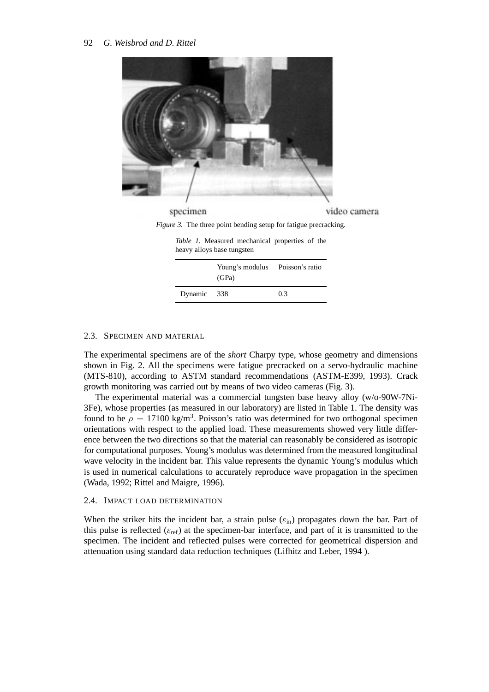



heavy alloys base tungsten

|             | Young's modulus Poisson's ratio<br>(GPa) |     |
|-------------|------------------------------------------|-----|
| Dynamic 338 |                                          | 0.3 |

## 2.3. SPECIMEN AND MATERIAL

The experimental specimens are of the *short* Charpy type, whose geometry and dimensions shown in Fig. 2. All the specimens were fatigue precracked on a servo-hydraulic machine (MTS-810), according to ASTM standard recommendations (ASTM-E399, 1993). Crack growth monitoring was carried out by means of two video cameras (Fig. 3).

The experimental material was a commercial tungsten base heavy alloy (w/o-90W-7Ni-3Fe), whose properties (as measured in our laboratory) are listed in Table 1. The density was found to be  $\rho = 17100 \text{ kg/m}^3$ . Poisson's ratio was determined for two orthogonal specimen orientations with respect to the applied load. These measurements showed very little difference between the two directions so that the material can reasonably be considered as isotropic for computational purposes. Young's modulus was determined from the measured longitudinal wave velocity in the incident bar. This value represents the dynamic Young's modulus which is used in numerical calculations to accurately reproduce wave propagation in the specimen (Wada, 1992; Rittel and Maigre, 1996).

## 2.4. IMPACT LOAD DETERMINATION

When the striker hits the incident bar, a strain pulse  $(\varepsilon_{\rm in})$  propagates down the bar. Part of this pulse is reflected (*ε*ref) at the specimen-bar interface, and part of it is transmitted to the specimen. The incident and reflected pulses were corrected for geometrical dispersion and attenuation using standard data reduction techniques (Lifhitz and Leber, 1994 ).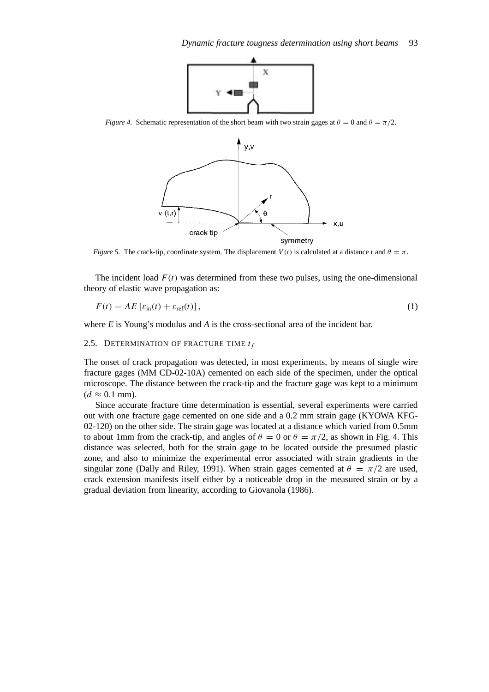

*Figure 4.* Schematic representation of the short beam with two strain gages at  $\theta = 0$  and  $\theta = \pi/2$ .



*Figure 5.* The crack-tip, coordinate system. The displacement  $V(t)$  is calculated at a distance r and  $\theta = \pi$ .

The incident load  $F(t)$  was determined from these two pulses, using the one-dimensional theory of elastic wave propagation as:

$$
F(t) = AE \left[ \varepsilon_{\text{in}}(t) + \varepsilon_{\text{ref}}(t) \right],\tag{1}
$$

where *E* is Young's modulus and *A* is the cross-sectional area of the incident bar.

#### 2.5. DETERMINATION OF FRACTURE TIME *tf*

The onset of crack propagation was detected, in most experiments, by means of single wire fracture gages (MM CD-02-10A) cemented on each side of the specimen, under the optical microscope. The distance between the crack-tip and the fracture gage was kept to a minimum  $(d \approx 0.1$  mm).

Since accurate fracture time determination is essential, several experiments were carried out with one fracture gage cemented on one side and a 0.2 mm strain gage (KYOWA KFG-02-120) on the other side. The strain gage was located at a distance which varied from 0.5mm to about 1mm from the crack-tip, and angles of  $\theta = 0$  or  $\theta = \pi/2$ , as shown in Fig. 4. This distance was selected, both for the strain gage to be located outside the presumed plastic zone, and also to minimize the experimental error associated with strain gradients in the singular zone (Dally and Riley, 1991). When strain gages cemented at  $\theta = \pi/2$  are used, crack extension manifests itself either by a noticeable drop in the measured strain or by a gradual deviation from linearity, according to Giovanola (1986).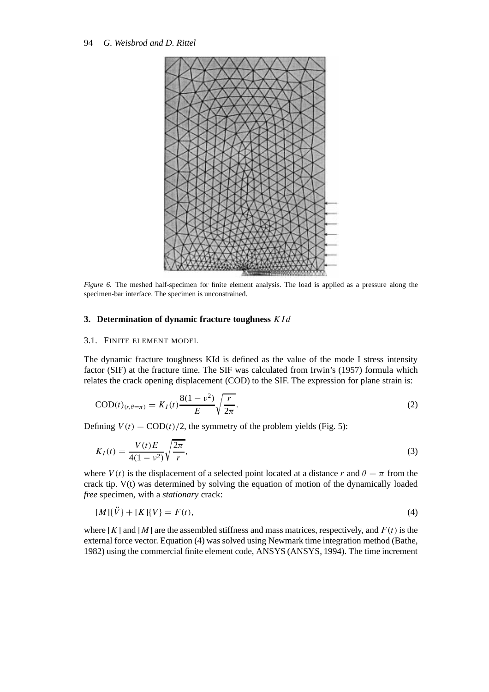## 94 *G. Weisbrod and D. Rittel*



*Figure 6.* The meshed half-specimen for finite element analysis. The load is applied as a pressure along the specimen-bar interface. The specimen is unconstrained.

## **3. Determination of dynamic fracture toughness** *KId*

#### 3.1. FINITE ELEMENT MODEL

The dynamic fracture toughness KId is defined as the value of the mode I stress intensity factor (SIF) at the fracture time. The SIF was calculated from Irwin's (1957) formula which relates the crack opening displacement (COD) to the SIF. The expression for plane strain is:

$$
COD(t)_{(r,\theta=\pi)} = K_I(t) \frac{8(1-\nu^2)}{E} \sqrt{\frac{r}{2\pi}}.
$$
\n(2)

Defining  $V(t) = \text{COD}(t)/2$ , the symmetry of the problem yields (Fig. 5):

$$
K_I(t) = \frac{V(t)E}{4(1 - v^2)} \sqrt{\frac{2\pi}{r}},
$$
\n(3)

where  $V(t)$  is the displacement of a selected point located at a distance *r* and  $\theta = \pi$  from the crack tip. V(t) was determined by solving the equation of motion of the dynamically loaded *free* specimen, with a *stationary* crack:

$$
[M]\{\ddot{V}\} + [K]\{V\} = F(t),\tag{4}
$$

where  $[K]$  and  $[M]$  are the assembled stiffness and mass matrices, respectively, and  $F(t)$  is the external force vector. Equation (4) was solved using Newmark time integration method (Bathe, 1982) using the commercial finite element code, ANSYS (ANSYS, 1994). The time increment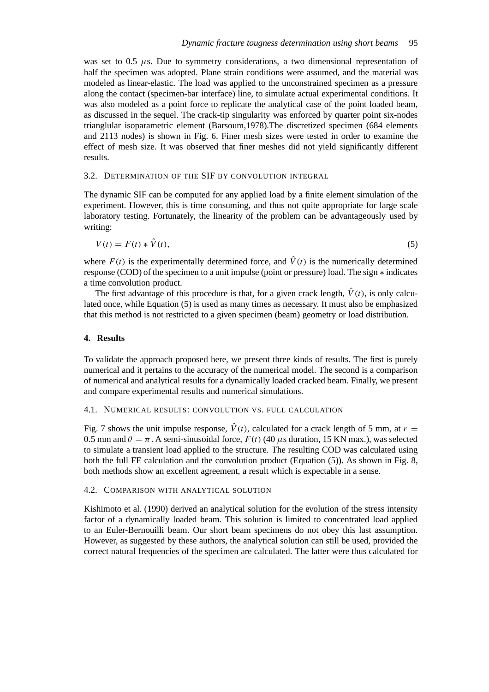was set to 0.5  $\mu$ s. Due to symmetry considerations, a two dimensional representation of half the specimen was adopted. Plane strain conditions were assumed, and the material was modeled as linear-elastic. The load was applied to the unconstrained specimen as a pressure along the contact (specimen-bar interface) line, to simulate actual experimental conditions. It was also modeled as a point force to replicate the analytical case of the point loaded beam, as discussed in the sequel. The crack-tip singularity was enforced by quarter point six-nodes trianglular isoparametric element (Barsoum,1978).The discretized specimen (684 elements and 2113 nodes) is shown in Fig. 6. Finer mesh sizes were tested in order to examine the effect of mesh size. It was observed that finer meshes did not yield significantly different results.

#### 3.2. DETERMINATION OF THE SIF BY CONVOLUTION INTEGRAL

The dynamic SIF can be computed for any applied load by a finite element simulation of the experiment. However, this is time consuming, and thus not quite appropriate for large scale laboratory testing. Fortunately, the linearity of the problem can be advantageously used by writing:

$$
V(t) = F(t) * \hat{V}(t),\tag{5}
$$

where  $F(t)$  is the experimentally determined force, and  $\hat{V}(t)$  is the numerically determined response (COD) of the specimen to a unit impulse (point or pressure) load. The sign ∗ indicates a time convolution product.

The first advantage of this procedure is that, for a given crack length,  $\hat{V}(t)$ , is only calculated once, while Equation (5) is used as many times as necessary. It must also be emphasized that this method is not restricted to a given specimen (beam) geometry or load distribution.

#### **4. Results**

To validate the approach proposed here, we present three kinds of results. The first is purely numerical and it pertains to the accuracy of the numerical model. The second is a comparison of numerical and analytical results for a dynamically loaded cracked beam. Finally, we present and compare experimental results and numerical simulations.

## 4.1. NUMERICAL RESULTS: CONVOLUTION VS. FULL CALCULATION

Fig. 7 shows the unit impulse response,  $\hat{V}(t)$ , calculated for a crack length of 5 mm, at  $r =$ 0.5 mm and  $\theta = \pi$ . A semi-sinusoidal force,  $F(t)$  (40  $\mu$ s duration, 15 KN max.), was selected to simulate a transient load applied to the structure. The resulting COD was calculated using both the full FE calculation and the convolution product (Equation (5)). As shown in Fig. 8, both methods show an excellent agreement, a result which is expectable in a sense.

## 4.2. COMPARISON WITH ANALYTICAL SOLUTION

Kishimoto et al. (1990) derived an analytical solution for the evolution of the stress intensity factor of a dynamically loaded beam. This solution is limited to concentrated load applied to an Euler-Bernouilli beam. Our short beam specimens do not obey this last assumption. However, as suggested by these authors, the analytical solution can still be used, provided the correct natural frequencies of the specimen are calculated. The latter were thus calculated for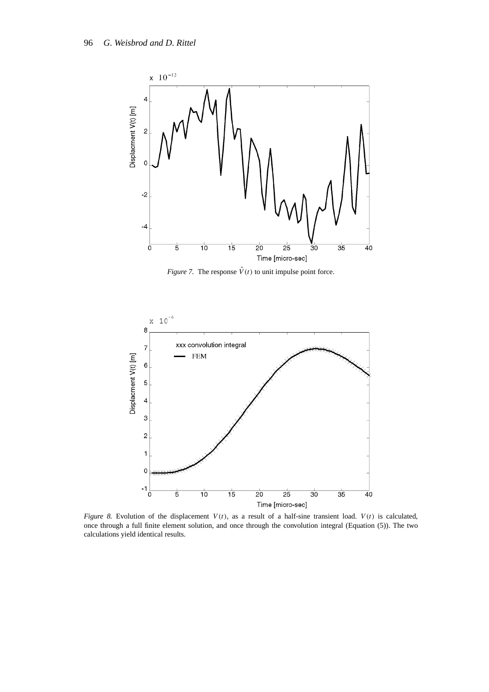

*Figure 7.* The response  $\hat{V}(t)$  to unit impulse point force.



*Figure 8.* Evolution of the displacement  $V(t)$ , as a result of a half-sine transient load.  $V(t)$  is calculated, once through a full finite element solution, and once through the convolution integral (Equation (5)). The two calculations yield identical results.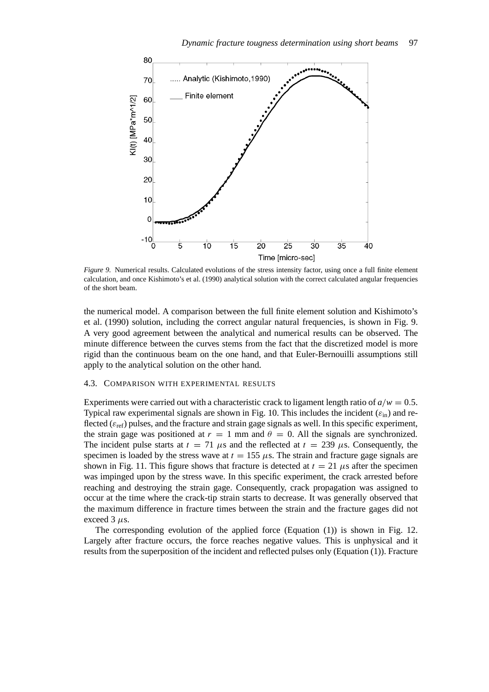

*Figure 9.* Numerical results. Calculated evolutions of the stress intensity factor, using once a full finite element calculation, and once Kishimoto's et al. (1990) analytical solution with the correct calculated angular frequencies of the short beam.

the numerical model. A comparison between the full finite element solution and Kishimoto's et al. (1990) solution, including the correct angular natural frequencies, is shown in Fig. 9. A very good agreement between the analytical and numerical results can be observed. The minute difference between the curves stems from the fact that the discretized model is more rigid than the continuous beam on the one hand, and that Euler-Bernouilli assumptions still apply to the analytical solution on the other hand.

## 4.3. COMPARISON WITH EXPERIMENTAL RESULTS

Experiments were carried out with a characteristic crack to ligament length ratio of  $a/w = 0.5$ . Typical raw experimental signals are shown in Fig. 10. This includes the incident (*ε*in) and reflected (*ε*ref) pulses, and the fracture and strain gage signals as well. In this specific experiment, the strain gage was positioned at  $r = 1$  mm and  $\theta = 0$ . All the signals are synchronized. The incident pulse starts at  $t = 71 \mu s$  and the reflected at  $t = 239 \mu s$ . Consequently, the specimen is loaded by the stress wave at  $t = 155 \mu s$ . The strain and fracture gage signals are shown in Fig. 11. This figure shows that fracture is detected at  $t = 21 \mu s$  after the specimen was impinged upon by the stress wave. In this specific experiment, the crack arrested before reaching and destroying the strain gage. Consequently, crack propagation was assigned to occur at the time where the crack-tip strain starts to decrease. It was generally observed that the maximum difference in fracture times between the strain and the fracture gages did not exceed 3 *µ*s.

The corresponding evolution of the applied force (Equation (1)) is shown in Fig. 12. Largely after fracture occurs, the force reaches negative values. This is unphysical and it results from the superposition of the incident and reflected pulses only (Equation (1)). Fracture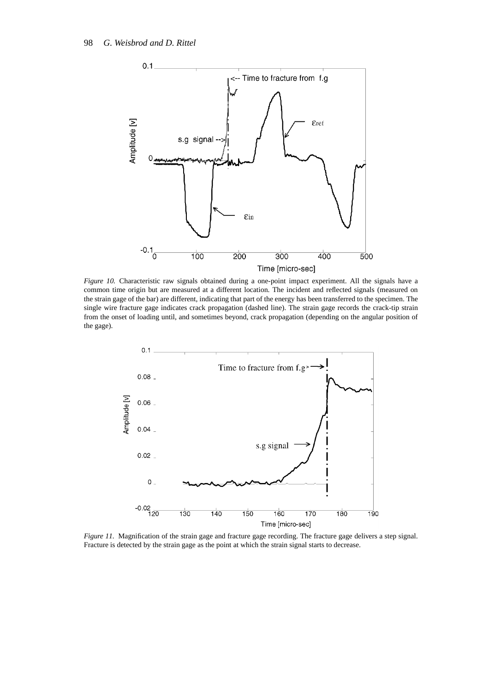

*Figure 10.* Characteristic raw signals obtained during a one-point impact experiment. All the signals have a common time origin but are measured at a different location. The incident and reflected signals (measured on the strain gage of the bar) are different, indicating that part of the energy has been transferred to the specimen. The single wire fracture gage indicates crack propagation (dashed line). The strain gage records the crack-tip strain from the onset of loading until, and sometimes beyond, crack propagation (depending on the angular position of the gage).



*Figure 11.* Magnification of the strain gage and fracture gage recording. The fracture gage delivers a step signal. Fracture is detected by the strain gage as the point at which the strain signal starts to decrease.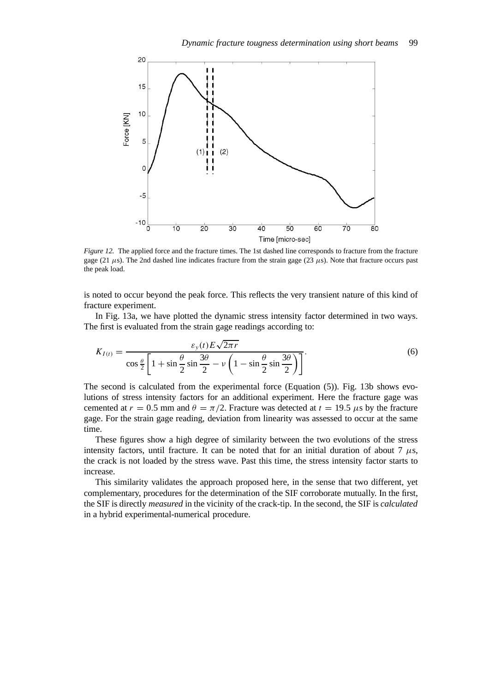

*Figure 12.* The applied force and the fracture times. The 1st dashed line corresponds to fracture from the fracture gage (21  $\mu$ s). The 2nd dashed line indicates fracture from the strain gage (23  $\mu$ s). Note that fracture occurs past the peak load.

is noted to occur beyond the peak force. This reflects the very transient nature of this kind of fracture experiment.

In Fig. 13a, we have plotted the dynamic stress intensity factor determined in two ways. The first is evaluated from the strain gage readings according to:

$$
K_{I(t)} = \frac{\varepsilon_y(t) E\sqrt{2\pi r}}{\cos\frac{\theta}{2} \left[1 + \sin\frac{\theta}{2}\sin\frac{3\theta}{2} - \nu\left(1 - \sin\frac{\theta}{2}\sin\frac{3\theta}{2}\right)\right]}.
$$
(6)

The second is calculated from the experimental force (Equation (5)). Fig. 13b shows evolutions of stress intensity factors for an additional experiment. Here the fracture gage was cemented at  $r = 0.5$  mm and  $\theta = \pi/2$ . Fracture was detected at  $t = 19.5 \mu s$  by the fracture gage. For the strain gage reading, deviation from linearity was assessed to occur at the same time.

These figures show a high degree of similarity between the two evolutions of the stress intensity factors, until fracture. It can be noted that for an initial duration of about  $7 \mu s$ , the crack is not loaded by the stress wave. Past this time, the stress intensity factor starts to increase.

This similarity validates the approach proposed here, in the sense that two different, yet complementary, procedures for the determination of the SIF corroborate mutually. In the first, the SIF is directly *measured* in the vicinity of the crack-tip. In the second, the SIF is *calculated* in a hybrid experimental-numerical procedure.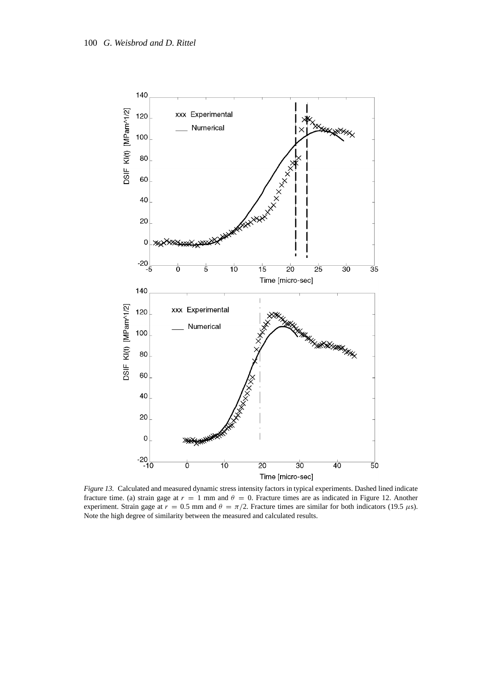

*Figure 13.* Calculated and measured dynamic stress intensity factors in typical experiments. Dashed lined indicate fracture time. (a) strain gage at  $r = 1$  mm and  $\theta = 0$ . Fracture times are as indicated in Figure 12. Another experiment. Strain gage at  $r = 0.5$  mm and  $\theta = \pi/2$ . Fracture times are similar for both indicators (19.5  $\mu$ s). Note the high degree of similarity between the measured and calculated results.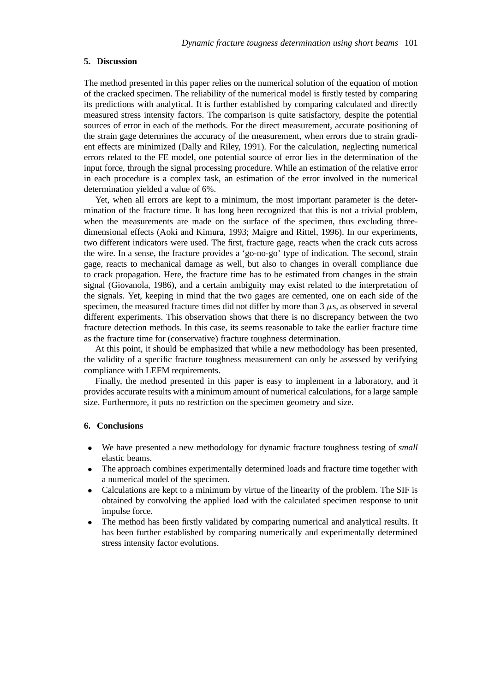## **5. Discussion**

The method presented in this paper relies on the numerical solution of the equation of motion of the cracked specimen. The reliability of the numerical model is firstly tested by comparing its predictions with analytical. It is further established by comparing calculated and directly measured stress intensity factors. The comparison is quite satisfactory, despite the potential sources of error in each of the methods. For the direct measurement, accurate positioning of the strain gage determines the accuracy of the measurement, when errors due to strain gradient effects are minimized (Dally and Riley, 1991). For the calculation, neglecting numerical errors related to the FE model, one potential source of error lies in the determination of the input force, through the signal processing procedure. While an estimation of the relative error in each procedure is a complex task, an estimation of the error involved in the numerical determination yielded a value of 6%.

Yet, when all errors are kept to a minimum, the most important parameter is the determination of the fracture time. It has long been recognized that this is not a trivial problem, when the measurements are made on the surface of the specimen, thus excluding threedimensional effects (Aoki and Kimura, 1993; Maigre and Rittel, 1996). In our experiments, two different indicators were used. The first, fracture gage, reacts when the crack cuts across the wire. In a sense, the fracture provides a 'go-no-go' type of indication. The second, strain gage, reacts to mechanical damage as well, but also to changes in overall compliance due to crack propagation. Here, the fracture time has to be estimated from changes in the strain signal (Giovanola, 1986), and a certain ambiguity may exist related to the interpretation of the signals. Yet, keeping in mind that the two gages are cemented, one on each side of the specimen, the measured fracture times did not differ by more than 3 *µ*s, as observed in several different experiments. This observation shows that there is no discrepancy between the two fracture detection methods. In this case, its seems reasonable to take the earlier fracture time as the fracture time for (conservative) fracture toughness determination.

At this point, it should be emphasized that while a new methodology has been presented, the validity of a specific fracture toughness measurement can only be assessed by verifying compliance with LEFM requirements.

Finally, the method presented in this paper is easy to implement in a laboratory, and it provides accurate results with a minimum amount of numerical calculations, for a large sample size. Furthermore, it puts no restriction on the specimen geometry and size.

#### **6. Conclusions**

- We have presented a new methodology for dynamic fracture toughness testing of *small* elastic beams.
- The approach combines experimentally determined loads and fracture time together with a numerical model of the specimen.
- Calculations are kept to a minimum by virtue of the linearity of the problem. The SIF is obtained by convolving the applied load with the calculated specimen response to unit impulse force.
- The method has been firstly validated by comparing numerical and analytical results. It has been further established by comparing numerically and experimentally determined stress intensity factor evolutions.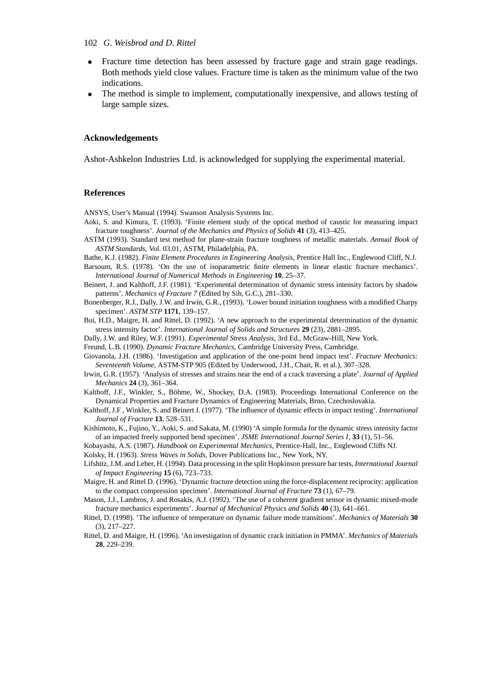## 102 *G. Weisbrod and D. Rittel*

- Fracture time detection has been assessed by fracture gage and strain gage readings. Both methods yield close values. Fracture time is taken as the minimum value of the two indications.
- The method is simple to implement, computationally inexpensive, and allows testing of large sample sizes.

#### **Acknowledgements**

Ashot-Ashkelon Industries Ltd. is acknowledged for supplying the experimental material.

# **References**

ANSYS, User's Manual (1994). Swanson Analysis Systems Inc.

- Aoki, S. and Kimura, T. (1993). 'Finite element study of the optical method of caustic for measuring impact fracture toughness'. *Journal of the Mechanics and Physics of Solids* **41** (3), 413–425.
- ASTM (1993). Standard test method for plane-strain fracture toughness of metallic materials. *Annual Book of ASTM Standards*, Vol. 03.01, ASTM, Philadelphia, PA.
- Bathe, K.J. (1982). *Finite Element Procedures in Engineering Analysis*, Prentice Hall Inc., Englewood Cliff, N.J.

Barsoum, R.S. (1978). 'On the use of isoparametric finite elements in linear elastic fracture mechanics'. *International Journal of Numerical Methods in Engineering* **10**, 25–37.

- Beinert, J. and Kalthoff, J.F. (1981). 'Experimental determination of dynamic stress intensity factors by shadow patterns'. *Mechanics of Fracture 7* (Edited by Sih, G.C.), 281–330.
- Bonenberger, R.J., Dally, J.W. and Irwin, G.R., (1993). 'Lower bound initiation toughness with a modified Charpy specimen'. *ASTM STP* **1171**, 139–157.
- Bui, H.D., Maigre, H. and Rittel, D. (1992). 'A new approach to the experimental determination of the dynamic stress intensity factor'. *International Journal of Solids and Structures* **29** (23), 2881–2895.

Dally, J.W. and Riley, W.F. (1991). *Experimental Stress Analysis*, 3rd Ed., McGraw-Hill, New York.

Freund, L.B. (1990). *Dynamic Fracture Mechanics*, Cambridge University Press, Cambridge.

- Giovanola, J.H. (1986). 'Investigation and application of the one-point bend impact test'. *Fracture Mechanics: Seventeenth Volume*, ASTM-STP 905 (Edited by Underwood, J.H., Chait, R. et al.), 307–328.
- Irwin, G.R. (1957). 'Analysis of stresses and strains near the end of a crack traversing a plate'. *Journal of Applied Mechanics* **24** (3), 361–364.
- Kalthoff, J.F., Winkler, S., Böhme, W., Shockey, D.A. (1983). Proceedings International Conference on the Dynamical Properties and Fracture Dynamics of Engineering Materials, Brno, Czechoslovakia.
- Kalthoff, J.F , Winkler, S. and Beinert J. (1977). 'The influence of dynamic effects in impact testing'. *International Journal of Fracture* **13**, 528–531.
- Kishimoto, K., Fujino, Y., Aoki, S. and Sakata, M. (1990) 'A simple formula for the dynamic stress intensity factor of an impacted freely supported bend specimen'. *JSME International Journal Series I*, **33** (1), 51–56.
- Kobayashi, A.S. (1987). *Handbook on Experimental Mechanics*, Prentice-Hall, Inc., Englewood Cliffs NJ.
- Kolsky, H. (1963). *Stress Waves in Solids*, Dover Publications Inc., New York, NY.
- Lifshitz, J.M. and Leber, H. (1994). Data processing in the split Hopkinson pressure bar tests, *International Journal of Impact Engineering* **15** (6), 723–733.
- Maigre, H. and Rittel D. (1996). 'Dynamic fracture detection using the force-displacement reciprocity: application to the compact compression specimen'. *International Journal of Fracture* **73** (1), 67–79.
- Mason, J.J., Lambros, J. and Rosakis, A.J. (1992). 'The use of a coherent gradient sensor in dynamic mixed-mode fracture mechanics experiments'. *Journal of Mechanical Physics and Solids* **40** (3), 641–661.
- Rittel, D. (1998). 'The influence of temperature on dynamic failure mode transitions'. *Mechanics of Materials* **30** (3), 217–227.
- Rittel, D. and Maigre, H. (1996). 'An investigation of dynamic crack initiation in PMMA'. *Mechanics of Materials* **28**, 229–239.